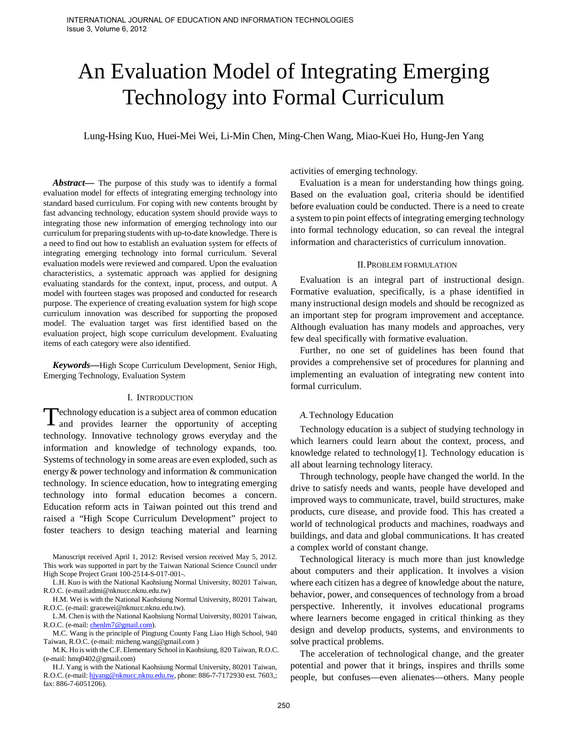# An Evaluation Model of Integrating Emerging Technology into Formal Curriculum

Lung-Hsing Kuo, Huei-Mei Wei, Li-Min Chen, Ming-Chen Wang, Miao-Kuei Ho, Hung-Jen Yang

Abstract— The purpose of this study was to identify a formal evaluation model for effects of integrating emerging technology into standard based curriculum. For coping with new contents brought by fast advancing technology, education system should provide ways to integrating those new information of emerging technology into our curriculum for preparing students with up-to-date knowledge. There is a need to find out how to establish an evaluation system for effects of integrating emerging technology into formal curriculum. Several evaluation models were reviewed and compared. Upon the evaluation characteristics, a systematic approach was applied for designing evaluating standards for the context, input, process, and output. A model with fourteen stages was proposed and conducted for research purpose. The experience of creating evaluation system for high scope curriculum innovation was described for supporting the proposed model. The evaluation target was first identified based on the evaluation project, high scope curriculum development. Evaluating items of each category were also identified.

*Keywords***—**High Scope Curriculum Development, Senior High, Emerging Technology, Evaluation System

#### I. INTRODUCTION

echnology education is a subject area of common education Technology education is a subject area of common education<br>and provides learner the opportunity of accepting technology. Innovative technology grows everyday and the information and knowledge of technology expands, too. Systems of technology in some areas are even exploded, such as energy & power technology and information & communication technology. In science education, how to integrating emerging technology into formal education becomes a concern. Education reform acts in Taiwan pointed out this trend and raised a "High Scope Curriculum Development" project to foster teachers to design teaching material and learning

Manuscript received April 1, 2012: Revised version received May 5, 2012. This work was supported in part by the Taiwan National Science Council under High Scope Project Grant 100-2514-S-017-001-.

L.H. Kuo is with the National Kaohsiung Normal University, 80201 Taiwan, R.O.C. (e-mail:admi@nknucc.nknu.edu.tw)

H.M. Wei is with the National Kaohsiung Normal University, 80201 Taiwan, R.O.C. (e-mail: gracewei@nknucc.nknu.edu.tw).

L.M. Chen is with the National Kaohsiung Normal University, 80201 Taiwan, R.O.C. (e-mail: [chenlm7@gmail.com\)](mailto:chenlm7@gmail.com).

M.C. Wang is the principle of Pingtung County Fang Liao High School, 940 Taiwan, R.O.C. (e-mail: micheng.wang@gmail.com )

M.K. Ho is with the C.F. Elementary School in Kaohsiung, 820 Taiwan, R.O.C. (e-mail: hmq0402@gmail.com)

H.J. Yang is with the National Kaohsiung Normal University, 80201 Taiwan, R.O.C. (e-mail: hivang@nknucc.nknu.edu.tw, phone: 886-7-7172930 ext. 7603,; fax: 886-7-6051206).

activities of emerging technology.

Evaluation is a mean for understanding how things going. Based on the evaluation goal, criteria should be identified before evaluation could be conducted. There is a need to create a system to pin point effects of integrating emerging technology into formal technology education, so can reveal the integral information and characteristics of curriculum innovation.

#### II.PROBLEM FORMULATION

Evaluation is an integral part of instructional design. Formative evaluation, specifically, is a phase identified in many instructional design models and should be recognized as an important step for program improvement and acceptance. Although evaluation has many models and approaches, very few deal specifically with formative evaluation.

Further, no one set of guidelines has been found that provides a comprehensive set of procedures for planning and implementing an evaluation of integrating new content into formal curriculum.

#### *A.*Technology Education

Technology education is a subject of studying technology in which learners could learn about the context, process, and knowledge related to technology[1]. Technology education is all about learning technology literacy.

Through technology, people have changed the world. In the drive to satisfy needs and wants, people have developed and improved ways to communicate, travel, build structures, make products, cure disease, and provide food. This has created a world of technological products and machines, roadways and buildings, and data and global communications. It has created a complex world of constant change.

Technological literacy is much more than just knowledge about computers and their application. It involves a vision where each citizen has a degree of knowledge about the nature, behavior, power, and consequences of technology from a broad perspective. Inherently, it involves educational programs where learners become engaged in critical thinking as they design and develop products, systems, and environments to solve practical problems.

The acceleration of technological change, and the greater potential and power that it brings, inspires and thrills some people, but confuses—even alienates—others. Many people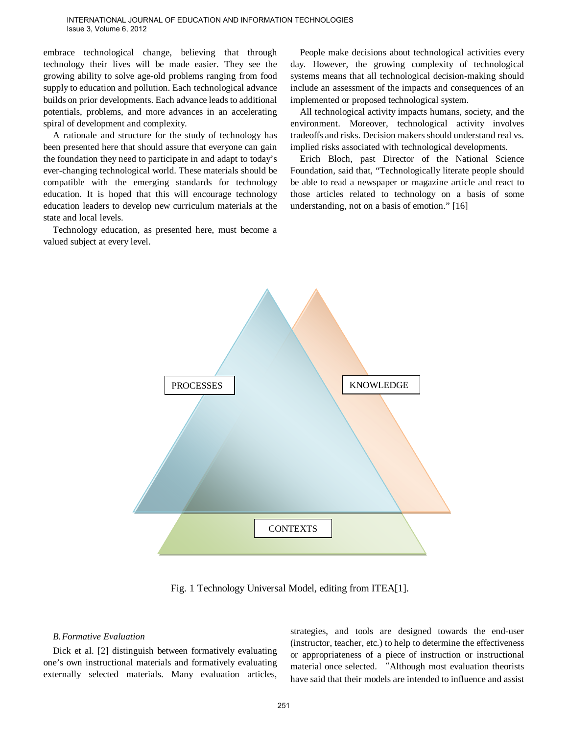#### INTERNATIONAL JOURNAL OF EDUCATION AND INFORMATION TECHNOLOGIES Issue 3, Volume 6, 2012

embrace technological change, believing that through technology their lives will be made easier. They see the growing ability to solve age-old problems ranging from food supply to education and pollution. Each technological advance builds on prior developments. Each advance leads to additional potentials, problems, and more advances in an accelerating spiral of development and complexity.

A rationale and structure for the study of technology has been presented here that should assure that everyone can gain the foundation they need to participate in and adapt to today's ever-changing technological world. These materials should be compatible with the emerging standards for technology education. It is hoped that this will encourage technology education leaders to develop new curriculum materials at the state and local levels.

Technology education, as presented here, must become a valued subject at every level.

People make decisions about technological activities every day. However, the growing complexity of technological systems means that all technological decision-making should include an assessment of the impacts and consequences of an implemented or proposed technological system.

All technological activity impacts humans, society, and the environment. Moreover, technological activity involves tradeoffs and risks. Decision makers should understand real vs. implied risks associated with technological developments.

Erich Bloch, past Director of the National Science Foundation, said that, "Technologically literate people should be able to read a newspaper or magazine article and react to those articles related to technology on a basis of some understanding, not on a basis of emotion." [16]



Fig. 1 Technology Universal Model, editing from ITEA[1].

#### *B.Formative Evaluation*

Dick et al. [2] distinguish between formatively evaluating one's own instructional materials and formatively evaluating externally selected materials. Many evaluation articles,

strategies, and tools are designed towards the end-user (instructor, teacher, etc.) to help to determine the effectiveness or appropriateness of a piece of instruction or instructional material once selected. "Although most evaluation theorists have said that their models are intended to influence and assist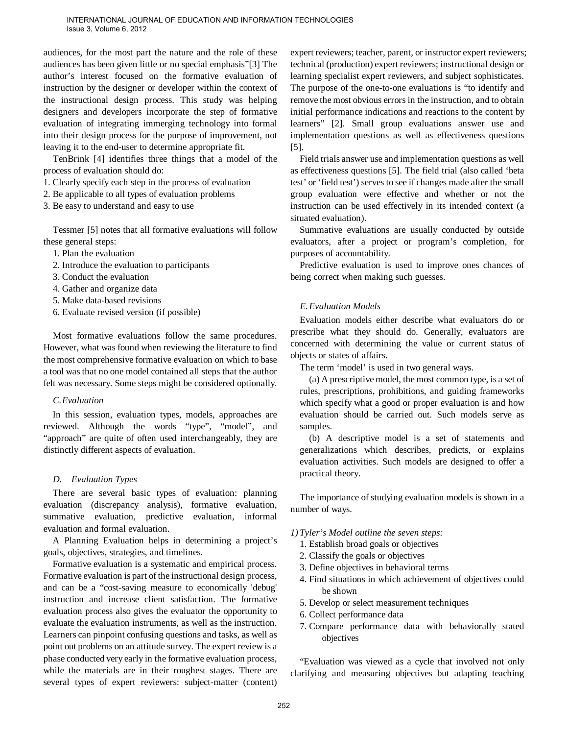audiences, for the most part the nature and the role of these audiences has been given little or no special emphasis"[3] The author's interest focused on the formative evaluation of instruction by the designer or developer within the context of the instructional design process. This study was helping designers and developers incorporate the step of formative evaluation of integrating immerging technology into formal into their design process for the purpose of improvement, not leaving it to the end-user to determine appropriate fit.

TenBrink [4] identifies three things that a model of the process of evaluation should do:

- 1. Clearly specify each step in the process of evaluation
- 2. Be applicable to all types of evaluation problems
- 3. Be easy to understand and easy to use

Tessmer [5] notes that all formative evaluations will follow these general steps:

- 1. Plan the evaluation
- 2. Introduce the evaluation to participants
- 3. Conduct the evaluation
- 4. Gather and organize data
- 5. Make data-based revisions
- 6. Evaluate revised version (if possible)

Most formative evaluations follow the same procedures. However, what was found when reviewing the literature to find the most comprehensive formative evaluation on which to base a tool was that no one model contained all steps that the author felt was necessary. Some steps might be considered optionally.

#### *C.Evaluation*

In this session, evaluation types, models, approaches are reviewed. Although the words "type", "model", and "approach" are quite of often used interchangeably, they are distinctly different aspects of evaluation.

#### *D. Evaluation Types*

There are several basic types of evaluation: planning evaluation (discrepancy analysis), formative evaluation, summative evaluation, predictive evaluation, informal evaluation and formal evaluation.

A Planning Evaluation helps in determining a project's goals, objectives, strategies, and timelines.

Formative evaluation is a systematic and empirical process. Formative evaluation is part of the instructional design process, and can be a "cost-saving measure to economically 'debug' instruction and increase client satisfaction. The formative evaluation process also gives the evaluator the opportunity to evaluate the evaluation instruments, as well as the instruction. Learners can pinpoint confusing questions and tasks, as well as point out problems on an attitude survey. The expert review is a phase conducted very early in the formative evaluation process, while the materials are in their roughest stages. There are several types of expert reviewers: subject-matter (content) expert reviewers; teacher, parent, or instructor expert reviewers; technical (production) expert reviewers; instructional design or learning specialist expert reviewers, and subject sophisticates. The purpose of the one-to-one evaluations is "to identify and remove the most obvious errors in the instruction, and to obtain initial performance indications and reactions to the content by learners" [2]. Small group evaluations answer use and implementation questions as well as effectiveness questions [5].

Field trials answer use and implementation questions as well as effectiveness questions [5]. The field trial (also called 'beta test' or 'field test') serves to see if changes made after the small group evaluation were effective and whether or not the instruction can be used effectively in its intended context (a situated evaluation).

Summative evaluations are usually conducted by outside evaluators, after a project or program's completion, for purposes of accountability.

Predictive evaluation is used to improve ones chances of being correct when making such guesses.

#### *E.Evaluation Models*

Evaluation models either describe what evaluators do or prescribe what they should do. Generally, evaluators are concerned with determining the value or current status of objects or states of affairs.

The term 'model' is used in two general ways.

(a) A prescriptive model, the most common type, is a set of rules, prescriptions, prohibitions, and guiding frameworks which specify what a good or proper evaluation is and how evaluation should be carried out. Such models serve as samples.

(b) A descriptive model is a set of statements and generalizations which describes, predicts, or explains evaluation activities. Such models are designed to offer a practical theory.

The importance of studying evaluation models is shown in a number of ways.

*1) Tyler's Model outline the seven steps:* 

- 1. Establish broad goals or objectives
- 2. Classify the goals or objectives
- 3. Define objectives in behavioral terms
- 4. Find situations in which achievement of objectives could be shown
- 5. Develop or select measurement techniques
- 6. Collect performance data
- 7. Compare performance data with behaviorally stated objectives

"Evaluation was viewed as a cycle that involved not only clarifying and measuring objectives but adapting teaching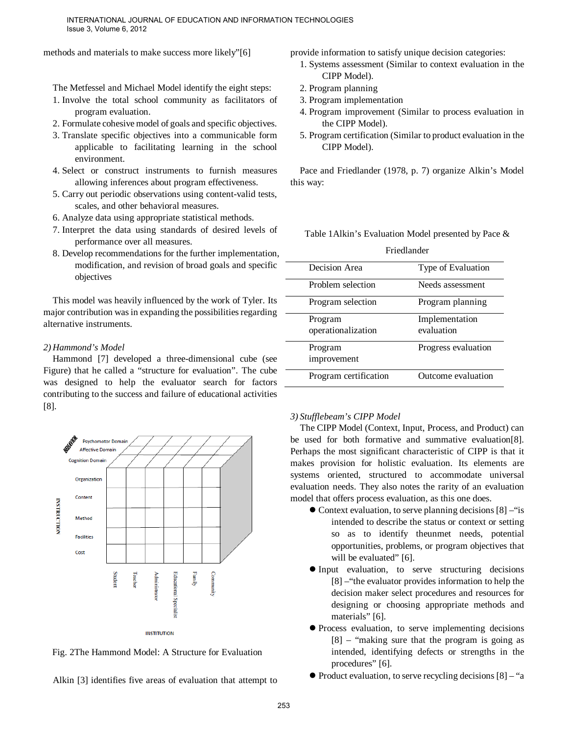methods and materials to make success more likely"[6]

The Metfessel and Michael Model identify the eight steps:

- 1. Involve the total school community as facilitators of program evaluation.
- 2. Formulate cohesive model of goals and specific objectives.
- 3. Translate specific objectives into a communicable form applicable to facilitating learning in the school environment.
- 4. Select or construct instruments to furnish measures allowing inferences about program effectiveness.
- 5. Carry out periodic observations using content-valid tests, scales, and other behavioral measures.
- 6. Analyze data using appropriate statistical methods.
- 7. Interpret the data using standards of desired levels of performance over all measures.
- 8. Develop recommendations for the further implementation, modification, and revision of broad goals and specific objectives

This model was heavily influenced by the work of Tyler. Its major contribution was in expanding the possibilities regarding alternative instruments.

#### *2) Hammond's Model*

Hammond [7] developed a three-dimensional cube (see Figure) that he called a "structure for evaluation". The cube was designed to help the evaluator search for factors contributing to the success and failure of educational activities [8].



Fig. 2The Hammond Model: A Structure for Evaluation

Alkin [3] identifies five areas of evaluation that attempt to

provide information to satisfy unique decision categories:

- 1. Systems assessment (Similar to context evaluation in the CIPP Model).
- 2. Program planning
- 3. Program implementation
- 4. Program improvement (Similar to process evaluation in the CIPP Model).
- 5. Program certification (Similar to product evaluation in the CIPP Model).

Pace and Friedlander (1978, p. 7) organize Alkin's Model this way:

Table 1Alkin's Evaluation Model presented by Pace & Friedlander

| <b>Friedianuer</b>    |                     |
|-----------------------|---------------------|
| Decision Area         | Type of Evaluation  |
| Problem selection     | Needs assessment    |
| Program selection     | Program planning    |
| Program               | Implementation      |
| operationalization    | evaluation          |
| Program               | Progress evaluation |
| improvement           |                     |
| Program certification | Outcome evaluation  |

#### *3) Stufflebeam's CIPP Model*

The CIPP Model (Context, Input, Process, and Product) can be used for both formative and summative evaluation[8]. Perhaps the most significant characteristic of CIPP is that it makes provision for holistic evaluation. Its elements are systems oriented, structured to accommodate universal evaluation needs. They also notes the rarity of an evaluation model that offers process evaluation, as this one does.

- Context evaluation, to serve planning decisions [8] –"is intended to describe the status or context or setting so as to identify theunmet needs, potential opportunities, problems, or program objectives that will be evaluated" [6].
- Input evaluation, to serve structuring decisions [8] –"the evaluator provides information to help the decision maker select procedures and resources for designing or choosing appropriate methods and materials" [6].
- Process evaluation, to serve implementing decisions [8] – "making sure that the program is going as intended, identifying defects or strengths in the procedures" [6].
- $\bullet$  Product evaluation, to serve recycling decisions [8] "a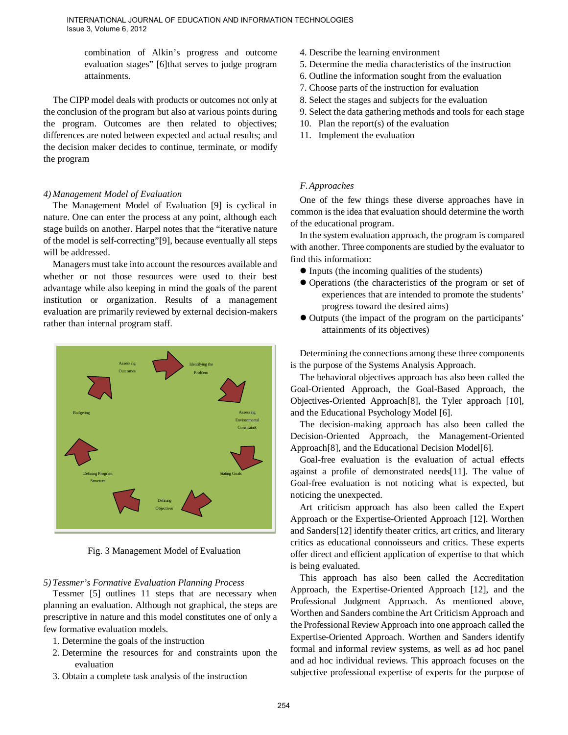combination of Alkin's progress and outcome evaluation stages" [6]that serves to judge program attainments.

The CIPP model deals with products or outcomes not only at the conclusion of the program but also at various points during the program. Outcomes are then related to objectives; differences are noted between expected and actual results; and the decision maker decides to continue, terminate, or modify the program

#### *4) Management Model of Evaluation*

The Management Model of Evaluation [9] is cyclical in nature. One can enter the process at any point, although each stage builds on another. Harpel notes that the "iterative nature of the model is self-correcting"[9], because eventually all steps will be addressed.

Managers must take into account the resources available and whether or not those resources were used to their best advantage while also keeping in mind the goals of the parent institution or organization. Results of a management evaluation are primarily reviewed by external decision-makers rather than internal program staff.



Fig. 3 Management Model of Evaluation

## *5) Tessmer's Formative Evaluation Planning Process*

Tessmer [5] outlines 11 steps that are necessary when planning an evaluation. Although not graphical, the steps are prescriptive in nature and this model constitutes one of only a few formative evaluation models.

- 1. Determine the goals of the instruction
- 2. Determine the resources for and constraints upon the evaluation
- 3. Obtain a complete task analysis of the instruction
- 4. Describe the learning environment
- 5. Determine the media characteristics of the instruction
- 6. Outline the information sought from the evaluation
- 7. Choose parts of the instruction for evaluation
- 8. Select the stages and subjects for the evaluation
- 9. Select the data gathering methods and tools for each stage
- 10. Plan the report(s) of the evaluation
- 11. Implement the evaluation

## *F.Approaches*

One of the few things these diverse approaches have in common is the idea that evaluation should determine the worth of the educational program.

In the system evaluation approach, the program is compared with another. Three components are studied by the evaluator to find this information:

- Inputs (the incoming qualities of the students)
- Operations (the characteristics of the program or set of experiences that are intended to promote the students' progress toward the desired aims)
- Outputs (the impact of the program on the participants' attainments of its objectives)

Determining the connections among these three components is the purpose of the Systems Analysis Approach.

The behavioral objectives approach has also been called the Goal-Oriented Approach, the Goal-Based Approach, the Objectives-Oriented Approach[8], the Tyler approach [10], and the Educational Psychology Model [6].

The decision-making approach has also been called the Decision-Oriented Approach, the Management-Oriented Approach<sup>[8]</sup>, and the Educational Decision Model<sup>[6]</sup>.

Goal-free evaluation is the evaluation of actual effects against a profile of demonstrated needs[11]. The value of Goal-free evaluation is not noticing what is expected, but noticing the unexpected.

Art criticism approach has also been called the Expert Approach or the Expertise-Oriented Approach [12]. Worthen and Sanders[12] identify theater critics, art critics, and literary critics as educational connoisseurs and critics. These experts offer direct and efficient application of expertise to that which is being evaluated.

This approach has also been called the Accreditation Approach, the Expertise-Oriented Approach [12], and the Professional Judgment Approach. As mentioned above, Worthen and Sanders combine the Art Criticism Approach and the Professional Review Approach into one approach called the Expertise-Oriented Approach. Worthen and Sanders identify formal and informal review systems, as well as ad hoc panel and ad hoc individual reviews. This approach focuses on the subjective professional expertise of experts for the purpose of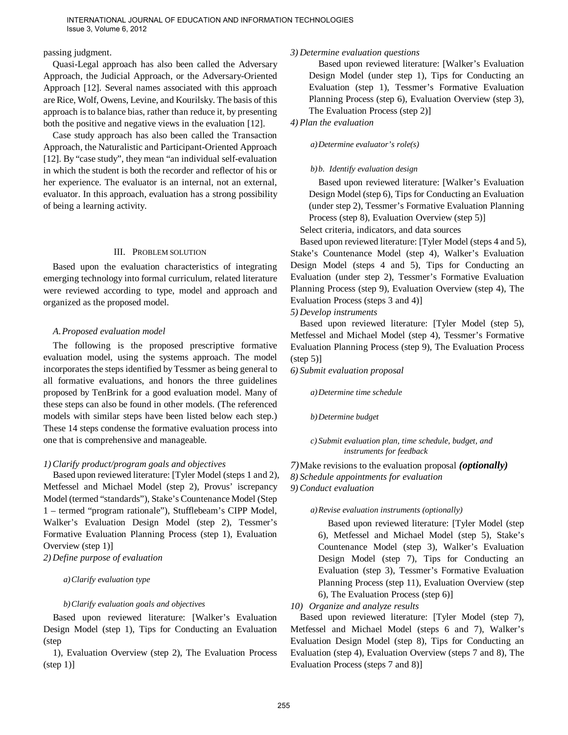#### passing judgment.

Quasi-Legal approach has also been called the Adversary Approach, the Judicial Approach, or the Adversary-Oriented Approach [12]. Several names associated with this approach are Rice, Wolf, Owens, Levine, and Kourilsky. The basis of this approach is to balance bias, rather than reduce it, by presenting both the positive and negative views in the evaluation [12].

Case study approach has also been called the Transaction Approach, the Naturalistic and Participant-Oriented Approach [12]. By "case study", they mean "an individual self-evaluation in which the student is both the recorder and reflector of his or her experience. The evaluator is an internal, not an external, evaluator. In this approach, evaluation has a strong possibility of being a learning activity.

#### III. PROBLEM SOLUTION

Based upon the evaluation characteristics of integrating emerging technology into formal curriculum, related literature were reviewed according to type, model and approach and organized as the proposed model.

## *A.Proposed evaluation model*

The following is the proposed prescriptive formative evaluation model, using the systems approach. The model incorporates the steps identified by Tessmer as being general to all formative evaluations, and honors the three guidelines proposed by TenBrink for a good evaluation model. Many of these steps can also be found in other models. (The referenced models with similar steps have been listed below each step.) These 14 steps condense the formative evaluation process into one that is comprehensive and manageable.

# *1) Clarify product/program goals and objectives*

Based upon reviewed literature: [Tyler Model (steps 1 and 2), Metfessel and Michael Model (step 2), Provus' iscrepancy Model (termed "standards"), Stake's Countenance Model (Step 1 – termed "program rationale"), Stufflebeam's CIPP Model, Walker's Evaluation Design Model (step 2), Tessmer's Formative Evaluation Planning Process (step 1), Evaluation Overview (step 1)]

*2) Define purpose of evaluation*

*a)Clarify evaluation type*

## *b)Clarify evaluation goals and objectives*

Based upon reviewed literature: [Walker's Evaluation Design Model (step 1), Tips for Conducting an Evaluation (step

1), Evaluation Overview (step 2), The Evaluation Process  $(\text{step } 1)$ ]

# *3) Determine evaluation questions*

Based upon reviewed literature: [Walker's Evaluation Design Model (under step 1), Tips for Conducting an Evaluation (step 1), Tessmer's Formative Evaluation Planning Process (step 6), Evaluation Overview (step 3), The Evaluation Process (step 2)]

*4) Plan the evaluation*

*a)Determine evaluator's role(s)*

# *b)b. Identify evaluation design*

Based upon reviewed literature: [Walker's Evaluation Design Model (step 6), Tips for Conducting an Evaluation (under step 2), Tessmer's Formative Evaluation Planning Process (step 8), Evaluation Overview (step 5)]

Select criteria, indicators, and data sources

Based upon reviewed literature: [Tyler Model (steps 4 and 5), Stake's Countenance Model (step 4), Walker's Evaluation Design Model (steps 4 and 5), Tips for Conducting an Evaluation (under step 2), Tessmer's Formative Evaluation Planning Process (step 9), Evaluation Overview (step 4), The Evaluation Process (steps 3 and 4)]

*5) Develop instruments*

Based upon reviewed literature: [Tyler Model (step 5), Metfessel and Michael Model (step 4), Tessmer's Formative Evaluation Planning Process (step 9), The Evaluation Process  $(\text{step } 5)$ ]

*6) Submit evaluation proposal*

*a)Determine time schedule*

*b)Determine budget*

*c) Submit evaluation plan, time schedule, budget, and instruments for feedback*

*7)*Make revisions to the evaluation proposal *(optionally)*

*8) Schedule appointments for evaluation*

*9) Conduct evaluation*

# *a)Revise evaluation instruments (optionally)*

Based upon reviewed literature: [Tyler Model (step 6), Metfessel and Michael Model (step 5), Stake's Countenance Model (step 3), Walker's Evaluation Design Model (step 7), Tips for Conducting an Evaluation (step 3), Tessmer's Formative Evaluation Planning Process (step 11), Evaluation Overview (step 6), The Evaluation Process (step 6)]

*10) Organize and analyze results*

Based upon reviewed literature: [Tyler Model (step 7), Metfessel and Michael Model (steps 6 and 7), Walker's Evaluation Design Model (step 8), Tips for Conducting an Evaluation (step 4), Evaluation Overview (steps 7 and 8), The Evaluation Process (steps 7 and 8)]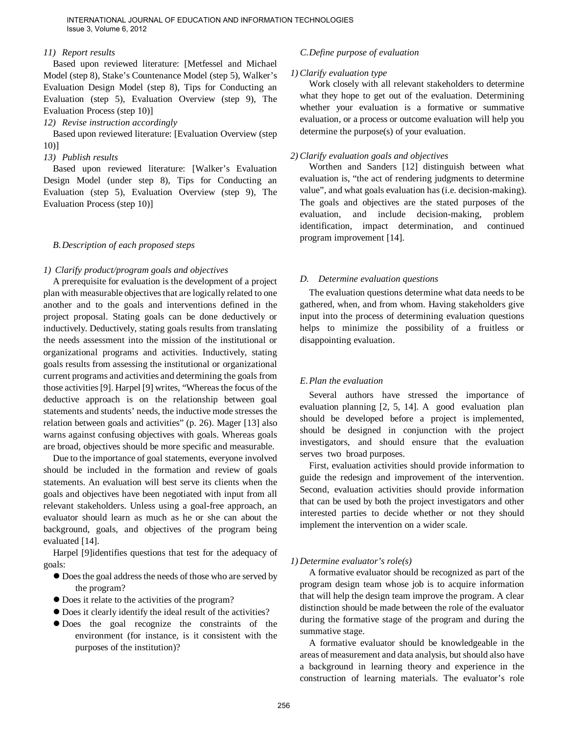#### *11) Report results*

Based upon reviewed literature: [Metfessel and Michael Model (step 8), Stake's Countenance Model (step 5), Walker's Evaluation Design Model (step 8), Tips for Conducting an Evaluation (step 5), Evaluation Overview (step 9), The Evaluation Process (step 10)]

#### *12) Revise instruction accordingly*

Based upon reviewed literature: [Evaluation Overview (step 10)]

#### *13) Publish results*

Based upon reviewed literature: [Walker's Evaluation Design Model (under step 8), Tips for Conducting an Evaluation (step 5), Evaluation Overview (step 9), The Evaluation Process (step 10)]

#### *B.Description of each proposed steps*

#### *1) Clarify product/program goals and objectives*

A prerequisite for evaluation is the development of a project plan with measurable objectives that are logically related to one another and to the goals and interventions defined in the project proposal. Stating goals can be done deductively or inductively. Deductively, stating goals results from translating the needs assessment into the mission of the institutional or organizational programs and activities. Inductively, stating goals results from assessing the institutional or organizational current programs and activities and determining the goals from those activities [9]. Harpel [9] writes, "Whereas the focus of the deductive approach is on the relationship between goal statements and students' needs, the inductive mode stresses the relation between goals and activities" (p. 26). Mager [13] also warns against confusing objectives with goals. Whereas goals are broad, objectives should be more specific and measurable.

Due to the importance of goal statements, everyone involved should be included in the formation and review of goals statements. An evaluation will best serve its clients when the goals and objectives have been negotiated with input from all relevant stakeholders. Unless using a goal-free approach, an evaluator should learn as much as he or she can about the background, goals, and objectives of the program being evaluated [14].

Harpel [9]identifies questions that test for the adequacy of goals:

- Does the goal address the needs of those who are served by the program?
- Does it relate to the activities of the program?
- Does it clearly identify the ideal result of the activities?
- Does the goal recognize the constraints of the environment (for instance, is it consistent with the purposes of the institution)?

#### *C.Define purpose of evaluation*

#### *1) Clarify evaluation type*

Work closely with all relevant stakeholders to determine what they hope to get out of the evaluation. Determining whether your evaluation is a formative or summative evaluation, or a process or outcome evaluation will help you determine the purpose(s) of your evaluation.

#### *2) Clarify evaluation goals and objectives*

Worthen and Sanders [12] distinguish between what evaluation is, "the act of rendering judgments to determine value", and what goals evaluation has (i.e. decision-making). The goals and objectives are the stated purposes of the evaluation, and include decision-making, problem identification, impact determination, and continued program improvement [14].

#### *D. Determine evaluation questions*

The evaluation questions determine what data needs to be gathered, when, and from whom. Having stakeholders give input into the process of determining evaluation questions helps to minimize the possibility of a fruitless or disappointing evaluation.

#### *E.Plan the evaluation*

Several authors have stressed the importance of evaluation planning [2, 5, 14]. A good evaluation plan should be developed before a project is implemented, should be designed in conjunction with the project investigators, and should ensure that the evaluation serves two broad purposes.

First, evaluation activities should provide information to guide the redesign and improvement of the intervention. Second, evaluation activities should provide information that can be used by both the project investigators and other interested parties to decide whether or not they should implement the intervention on a wider scale.

#### *1) Determine evaluator's role(s)*

A formative evaluator should be recognized as part of the program design team whose job is to acquire information that will help the design team improve the program. A clear distinction should be made between the role of the evaluator during the formative stage of the program and during the summative stage.

A formative evaluator should be knowledgeable in the areas of measurement and data analysis, but should also have a background in learning theory and experience in the construction of learning materials. The evaluator's role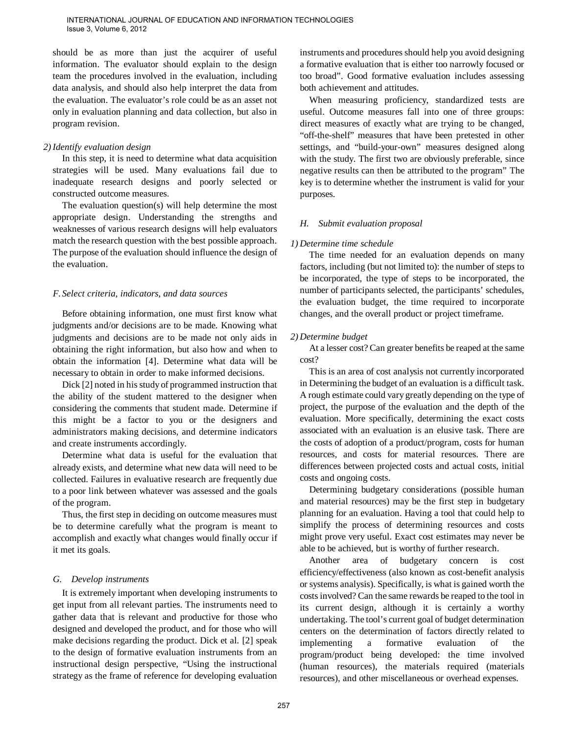should be as more than just the acquirer of useful information. The evaluator should explain to the design team the procedures involved in the evaluation, including data analysis, and should also help interpret the data from the evaluation. The evaluator's role could be as an asset not only in evaluation planning and data collection, but also in program revision.

#### *2) Identify evaluation design*

In this step, it is need to determine what data acquisition strategies will be used. Many evaluations fail due to inadequate research designs and poorly selected or constructed outcome measures.

The evaluation question(s) will help determine the most appropriate design. Understanding the strengths and weaknesses of various research designs will help evaluators match the research question with the best possible approach. The purpose of the evaluation should influence the design of the evaluation.

## *F. Select criteria, indicators, and data sources*

Before obtaining information, one must first know what judgments and/or decisions are to be made. Knowing what judgments and decisions are to be made not only aids in obtaining the right information, but also how and when to obtain the information [4]. Determine what data will be necessary to obtain in order to make informed decisions.

Dick [2] noted in his study of programmed instruction that the ability of the student mattered to the designer when considering the comments that student made. Determine if this might be a factor to you or the designers and administrators making decisions, and determine indicators and create instruments accordingly.

Determine what data is useful for the evaluation that already exists, and determine what new data will need to be collected. Failures in evaluative research are frequently due to a poor link between whatever was assessed and the goals of the program.

Thus, the first step in deciding on outcome measures must be to determine carefully what the program is meant to accomplish and exactly what changes would finally occur if it met its goals.

## *G. Develop instruments*

It is extremely important when developing instruments to get input from all relevant parties. The instruments need to gather data that is relevant and productive for those who designed and developed the product, and for those who will make decisions regarding the product. Dick et al. [2] speak to the design of formative evaluation instruments from an instructional design perspective, "Using the instructional strategy as the frame of reference for developing evaluation

instruments and procedures should help you avoid designing a formative evaluation that is either too narrowly focused or too broad". Good formative evaluation includes assessing both achievement and attitudes.

When measuring proficiency, standardized tests are useful. Outcome measures fall into one of three groups: direct measures of exactly what are trying to be changed, "off-the-shelf" measures that have been pretested in other settings, and "build-your-own" measures designed along with the study. The first two are obviously preferable, since negative results can then be attributed to the program" The key is to determine whether the instrument is valid for your purposes.

## *H. Submit evaluation proposal*

## *1) Determine time schedule*

The time needed for an evaluation depends on many factors, including (but not limited to): the number of steps to be incorporated, the type of steps to be incorporated, the number of participants selected, the participants' schedules, the evaluation budget, the time required to incorporate changes, and the overall product or project timeframe.

#### *2) Determine budget*

At a lesser cost? Can greater benefits be reaped at the same cost?

This is an area of cost analysis not currently incorporated in Determining the budget of an evaluation is a difficult task. A rough estimate could vary greatly depending on the type of project, the purpose of the evaluation and the depth of the evaluation. More specifically, determining the exact costs associated with an evaluation is an elusive task. There are the costs of adoption of a product/program, costs for human resources, and costs for material resources. There are differences between projected costs and actual costs, initial costs and ongoing costs.

Determining budgetary considerations (possible human and material resources) may be the first step in budgetary planning for an evaluation. Having a tool that could help to simplify the process of determining resources and costs might prove very useful. Exact cost estimates may never be able to be achieved, but is worthy of further research.

Another area of budgetary concern is cost efficiency/effectiveness (also known as cost-benefit analysis or systems analysis). Specifically, is what is gained worth the costs involved? Can the same rewards be reaped to the tool in its current design, although it is certainly a worthy undertaking. The tool's current goal of budget determination centers on the determination of factors directly related to implementing a formative evaluation of the program/product being developed: the time involved (human resources), the materials required (materials resources), and other miscellaneous or overhead expenses.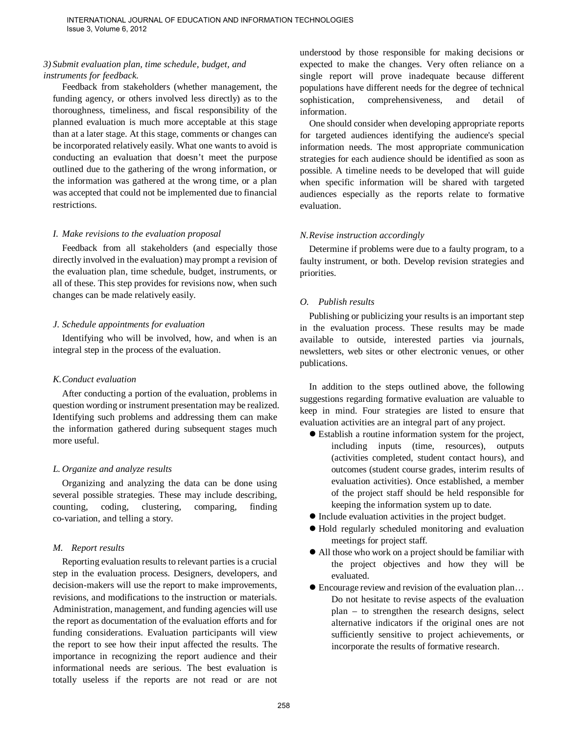## *3) Submit evaluation plan, time schedule, budget, and instruments for feedback.*

Feedback from stakeholders (whether management, the funding agency, or others involved less directly) as to the thoroughness, timeliness, and fiscal responsibility of the planned evaluation is much more acceptable at this stage than at a later stage. At this stage, comments or changes can be incorporated relatively easily. What one wants to avoid is conducting an evaluation that doesn't meet the purpose outlined due to the gathering of the wrong information, or the information was gathered at the wrong time, or a plan was accepted that could not be implemented due to financial restrictions.

#### *I. Make revisions to the evaluation proposal*

Feedback from all stakeholders (and especially those directly involved in the evaluation) may prompt a revision of the evaluation plan, time schedule, budget, instruments, or all of these. This step provides for revisions now, when such changes can be made relatively easily.

## *J. Schedule appointments for evaluation*

Identifying who will be involved, how, and when is an integral step in the process of the evaluation.

# *K.Conduct evaluation*

After conducting a portion of the evaluation, problems in question wording or instrument presentation may be realized. Identifying such problems and addressing them can make the information gathered during subsequent stages much more useful.

## *L. Organize and analyze results*

Organizing and analyzing the data can be done using several possible strategies. These may include describing, counting, coding, clustering, comparing, finding co-variation, and telling a story.

## *M. Report results*

Reporting evaluation results to relevant parties is a crucial step in the evaluation process. Designers, developers, and decision-makers will use the report to make improvements, revisions, and modifications to the instruction or materials. Administration, management, and funding agencies will use the report as documentation of the evaluation efforts and for funding considerations. Evaluation participants will view the report to see how their input affected the results. The importance in recognizing the report audience and their informational needs are serious. The best evaluation is totally useless if the reports are not read or are not understood by those responsible for making decisions or expected to make the changes. Very often reliance on a single report will prove inadequate because different populations have different needs for the degree of technical sophistication, comprehensiveness, and detail of information.

One should consider when developing appropriate reports for targeted audiences identifying the audience's special information needs. The most appropriate communication strategies for each audience should be identified as soon as possible. A timeline needs to be developed that will guide when specific information will be shared with targeted audiences especially as the reports relate to formative evaluation.

# *N.Revise instruction accordingly*

Determine if problems were due to a faulty program, to a faulty instrument, or both. Develop revision strategies and priorities.

# *O. Publish results*

Publishing or publicizing your results is an important step in the evaluation process. These results may be made available to outside, interested parties via journals, newsletters, web sites or other electronic venues, or other publications.

In addition to the steps outlined above, the following suggestions regarding formative evaluation are valuable to keep in mind. Four strategies are listed to ensure that evaluation activities are an integral part of any project.

- Establish a routine information system for the project, including inputs (time, resources), outputs (activities completed, student contact hours), and outcomes (student course grades, interim results of evaluation activities). Once established, a member of the project staff should be held responsible for keeping the information system up to date.
- Include evaluation activities in the project budget.
- Hold regularly scheduled monitoring and evaluation meetings for project staff.
- All those who work on a project should be familiar with the project objectives and how they will be evaluated.
- Encourage review and revision of the evaluation plan... Do not hesitate to revise aspects of the evaluation plan – to strengthen the research designs, select alternative indicators if the original ones are not sufficiently sensitive to project achievements, or incorporate the results of formative research.